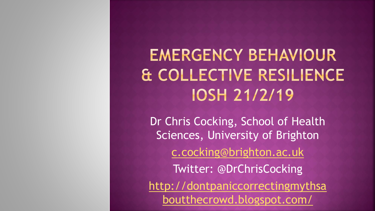**EMERGENCY BEHAVIOUR** & COLLECTIVE RESILIENCE **IOSH 21/2/19** 

Dr Chris Cocking, School of Health Sciences, University of Brighton [c.cocking@brighton.ac.uk](mailto:c.cocking@brighton.ac.uk) Twitter: @DrChrisCocking [http://dontpaniccorrectingmythsa](http://dontpaniccorrectingmythsaboutthecrowd.blogspot.com/) boutthecrowd.blogspot.com/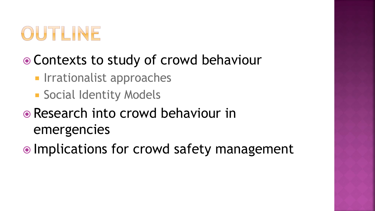

#### • Contexts to study of crowd behaviour

- **Industa** Irrationalist approaches
- **Social Identity Models**

#### • Research into crowd behaviour in emergencies

• Implications for crowd safety management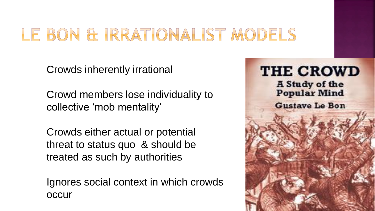#### LE BON & IRRATIONALIST MODELS

Crowds inherently irrational

Crowd members lose individuality to collective 'mob mentality'

Crowds either actual or potential threat to status quo & should be treated as such by authorities

Ignores social context in which crowds occur

**THE CROWD A Study of the Popular Mind Gustave Le Bon**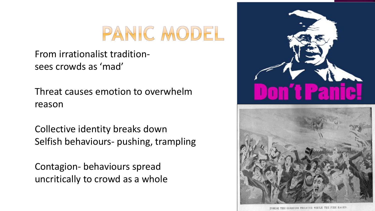### PANIC MODEL

#### From irrationalist traditionsees crowds as 'mad'

Threat causes emotion to overwhelm reason

Collective identity breaks down Selfish behaviours- pushing, trampling

Contagion- behaviours spread uncritically to crowd as a whole



INSIDE THE IROQUOIS THEATER WHILE THE FIRE RAGED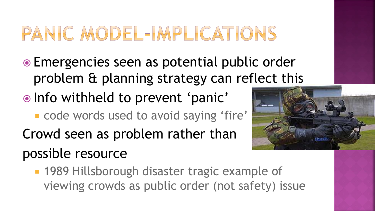# PANIC MODEL-IMPLICATIONS

- Emergencies seen as potential public order problem & planning strategy can reflect this
- . Info withheld to prevent 'panic'
	- **code words used to avoid saying 'fire'**
- Crowd seen as problem rather than possible resource



**1989 Hillsborough disaster tragic example of** viewing crowds as public order (not safety) issue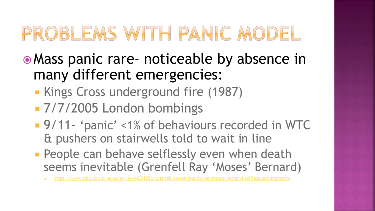# PROBLEMS WITH PANIC MODEL

- Mass panic rare- noticeable by absence in many different emergencies:
	- **Kings Cross underground fire (1987)**
	- **7/7/2005 London bombings**
	- 9/11- 'panic' <1% of behaviours recorded in WTC & pushers on stairwells told to wait in line
	- **People can behave selflessly even when death** seems inevitable (Grenfell Ray 'Moses' Bernard)
		- <https://www.bbc.co.uk/news/av/uk-44301256/grenfell-tower-inquiry-ray-moses-bernard-selfless-last-moments>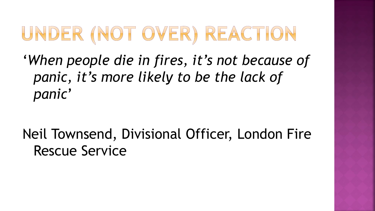# UNDER (NOT OVER) REACTION

'*When people die in fires, it's not because of panic, it's more likely to be the lack of panic*'

Neil Townsend, Divisional Officer, London Fire Rescue Service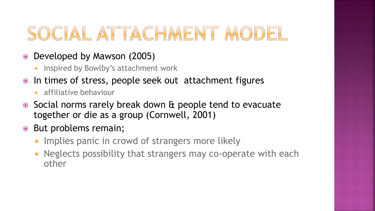# SOCIAL ATTACHMENT MODEL

- Developed by Mawson (2005)
	- Inspired by Bowlby's attachment work
- In times of stress, people seek out attachment figures
	- **a** affiliative behaviour
- Social norms rarely break down & people tend to evacuate together or die as a group (Cornwell, 2001)
- **But problems remain;** 
	- **IMPLACE STANDE IN CRY** Implies panic in crowd of strangers more likely
	- Neglects possibility that strangers may co-operate with each other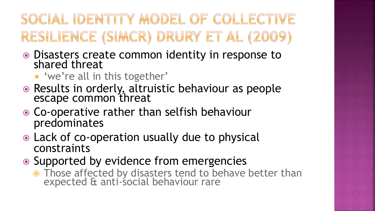#### SOCIAL IDENTITY MODEL OF COLLECTIVE RESILIENCE (SIMCR) DRURY ET AL (2009)

- Disasters create common identity in response to shared threat
	- 'we're all in this together'
- Results in orderly, altruistic behaviour as people escape common threat
- Co-operative rather than selfish behaviour predominates
- Lack of co-operation usually due to physical constraints
- Supported by evidence from emergencies
	- Those affected by disasters tend to behave better than expected & anti-social behaviour rare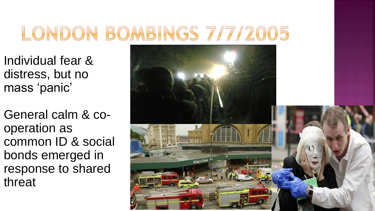# LONDON BOMBINGS 7/7/2005

Individual fear & distress, but no mass 'panic'

General calm & cooperation as common ID & social bonds emerged in response to shared threat

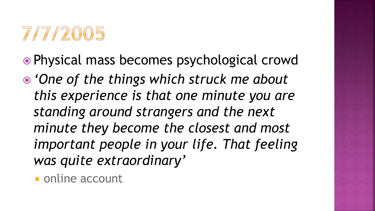

- Physical mass becomes psychological crowd
- *'One of the things which struck me about this experience is that one minute you are standing around strangers and the next minute they become the closest and most important people in your life. That feeling was quite extraordinary'*
	- **online account**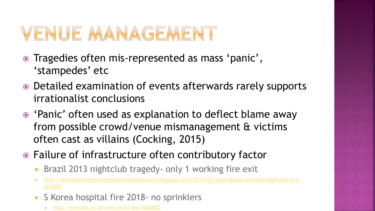# VENUE MANAGEMENT

- Tragedies often mis-represented as mass 'panic', 'stampedes' etc
- Detailed examination of events afterwards rarely supports irrationalist conclusions
- 'Panic' often used as explanation to deflect blame away from possible crowd/venue mismanagement & victims often cast as villains (Cocking, 2015)
- Failure of infrastructure often contributory factor
	- Brazil 2013 nightclub tragedy- only 1 working fire exit
	- [http://dontpaniccorrectingmythsaboutthecrowd.blogspot.com/2013/01/dont-blame-brazilian-nightclub-fire](http://dontpaniccorrectingmythsaboutthecrowd.blogspot.com/2013/01/dont-blame-brazilian-nightclub-fire-on.html)on.html
	- S Korea hospital fire 2018- no sprinklers
		- <http://www.bbc.co.uk/news/world-asia-42828023>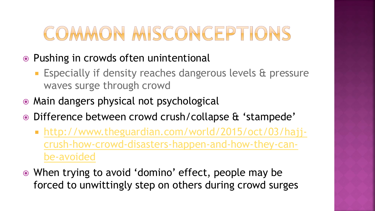# COMMON MISCONCEPTIONS

- Pushing in crowds often unintentional
	- **Especially if density reaches dangerous levels & pressure** waves surge through crowd
- Main dangers physical not psychological
- Difference between crowd crush/collapse & 'stampede'
	- http://www.theguardian.com/world/2015/oct/03/hajj[crush-how-crowd-disasters-happen-and-how-they-can](http://www.theguardian.com/world/2015/oct/03/hajj-crush-how-crowd-disasters-happen-and-how-they-can-be-avoided)be-avoided
- When trying to avoid 'domino' effect, people may be forced to unwittingly step on others during crowd surges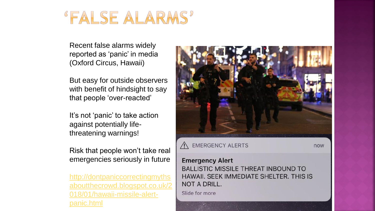#### **"FALSE ALARMS"**

Recent false alarms widely reported as 'panic' in media (Oxford Circus, Hawaii)

But easy for outside observers with benefit of hindsight to say that people 'over-reacted'

It's not 'panic' to take action against potentially lifethreatening warnings!

Risk that people won't take real emergencies seriously in future

http://dontpaniccorrectingmyths [aboutthecrowd.blogspot.co.uk/2](http://dontpaniccorrectingmythsaboutthecrowd.blogspot.co.uk/2018/01/hawaii-missile-alert-panic.html) 018/01/hawaii-missile-alertpanic.html



A EMERGENCY ALERTS

now

#### **Emergency Alert**

**BALLISTIC MISSILE THREAT INBOUND TO** HAWAII, SEEK IMMEDIATE SHELTER, THIS IS **NOT A DRILL.** 

Slide for more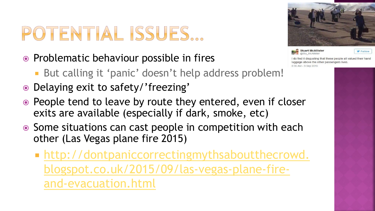# POTENTIAL ISSUES...

- Problematic behaviour possible in fires
	- But calling it 'panic' doesn't help address problem!
- Delaying exit to safety/'freezing'
- People tend to leave by route they entered, even if closer exits are available (especially if dark, smoke, etc)
- Some situations can cast people in competition with each other (Las Vegas plane fire 2015)
	- **http://dontpaniccorrectingmythsaboutthecrowd.** [blogspot.co.uk/2015/09/las-vegas-plane-fire](http://dontpaniccorrectingmythsaboutthecrowd.blogspot.co.uk/2015/09/las-vegas-plane-fire-and-evacuation.html)and-evacuation.html



**Stuart McAllister** @Stu\_McAllister

Follow

I do find it disgusting that these people all valued their hand luggage above the other passengers lives 8:36 AM - 9 Sep 2015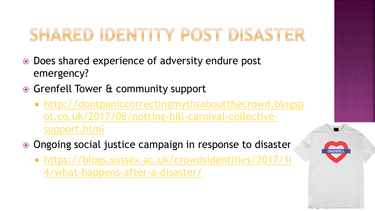#### SHARED IDENTITY POST DISASTER

- Does shared experience of adversity endure post emergency?
- **Grenfell Tower & community support** 
	- http://dontpaniccorrectingmythsaboutthecrowd.blogsp [ot.co.uk/2017/08/notting-hill-carnival-collective](http://dontpaniccorrectingmythsaboutthecrowd.blogspot.co.uk/2017/08/notting-hill-carnival-collective-support.html)support.html
- Ongoing social justice campaign in response to disaster
	- https://blogs.sussex.ac.uk/crowdsidentities/2017/10 4/what-happens-after-a-disaster/

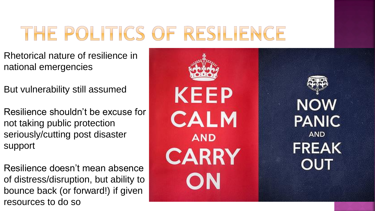# THE POLITICS OF RESILIENCE

- Rhetorical nature of resilience in national emergencies
- But vulnerability still assumed
- Resilience shouldn't be excuse for not taking public protection seriously/cutting post disaster support
- Resilience doesn't mean absence of distress/disruption, but ability to bounce back (or forward!) if given resources to do so





#### **NOW PANIC AND FREAK OUT**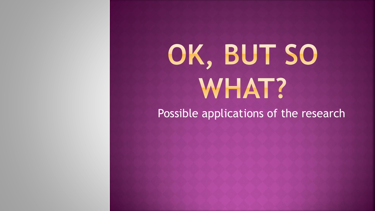# OK, BUT SO **WHAT?**

Possible applications of the research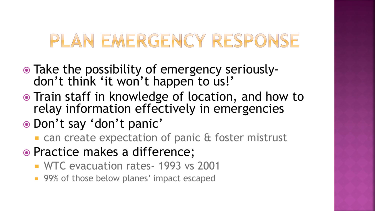#### PLAN EMERGENCY RESPONSE

- Take the possibility of emergency seriouslydon't think 'it won't happen to us!'
- Train staff in knowledge of location, and how to relay information effectively in emergencies
- Don't say 'don't panic'
	- **Exercise Expectation of panic & foster mistrust**
- Practice makes a difference;
	- WTC evacuation rates- 1993 vs 2001
	- **99% of those below planes' impact escaped**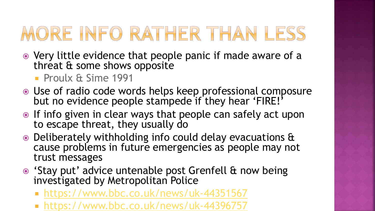# MORE INFO RATHER THAN LESS

- Very little evidence that people panic if made aware of a threat & some shows opposite
	- **Proulx & Sime 1991**
- Use of radio code words helps keep professional composure but no evidence people stampede if they hear 'FIRE!'
- If info given in clear ways that people can safely act upon to escape threat, they usually do
- Deliberately withholding info could delay evacuations & cause problems in future emergencies as people may not trust messages
- 'Stay put' advice untenable post Grenfell & now being investigated by Metropolitan Police
	- <https://www.bbc.co.uk/news/uk-44351567>
	- <https://www.bbc.co.uk/news/uk-44396757>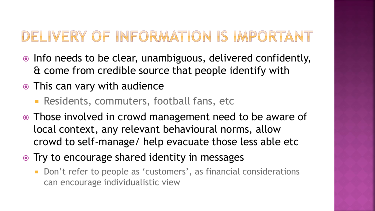#### DELIVERY OF INFORMATION IS IMPORTANT

- Info needs to be clear, unambiguous, delivered confidently, & come from credible source that people identify with
- This can vary with audience
	- **Residents, commuters, football fans, etc**
- Those involved in crowd management need to be aware of local context, any relevant behavioural norms, allow crowd to self-manage/ help evacuate those less able etc
- Try to encourage shared identity in messages
	- Don't refer to people as 'customers', as financial considerations can encourage individualistic view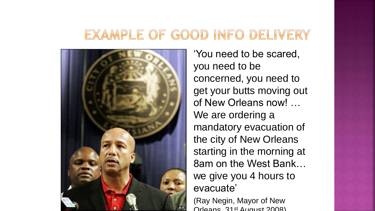#### EXAMPLE OF GOOD INFO DELIVERY



'You need to be scared, you need to be concerned, you need to get your butts moving out of New Orleans now! … We are ordering a mandatory evacuation of the city of New Orleans starting in the morning at 8am on the West Bank… we give you 4 hours to evacuate'

(Ray Negin, Mayor of New Orleans. 31st August 2008)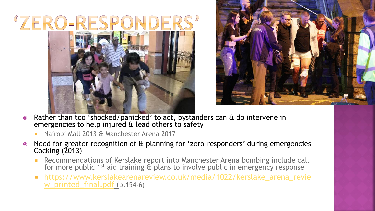



- Rather than too 'shocked/panicked' to act, bystanders can & do intervene in emergencies to help injured & lead others to safety
	- Nairobi Mall 2013 & Manchester Arena 2017
- Need for greater recognition of & planning for 'zero-responders' during emergencies Cocking (2013)
	- **Recommendations of Kerslake report into Manchester Arena bombing include call** for more public 1<sup>st</sup> aid training  $\hat{\sigma}$  plans to involve public in emergency response
	- [https://www.kerslakearenareview.co.uk/media/1022/kerslake\\_arena\\_revie](https://www.kerslakearenareview.co.uk/media/1022/kerslake_arena_review_printed_final.pdf) w\_printed\_final.pdf (p.154-6)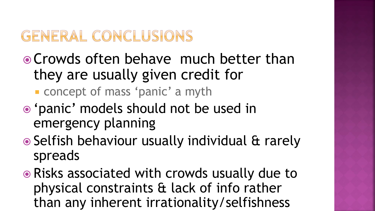#### GENERAL CONCLUSIONS

- Crowds often behave much better than they are usually given credit for
	- **CONCEPT OF MASS 'panic' a myth**
- 'panic' models should not be used in emergency planning
- Selfish behaviour usually individual & rarely spreads
- Risks associated with crowds usually due to physical constraints & lack of info rather than any inherent irrationality/selfishness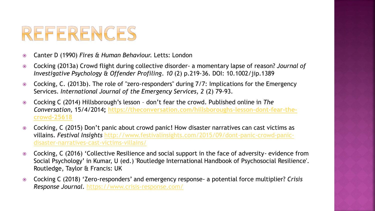#### REFERENCES

- Canter D (1990) *Fires & Human Behaviour.* Letts: London
- Cocking (2013a) Crowd flight during collective disorder- a momentary lapse of reason? *Journal of Investigative Psychology & Offender Profiling*. *10* (2) p.219-36. DOI: 10.1002/jip.1389
- Cocking, C. (2013b). The role of "zero-responders" during 7/7: Implications for the Emergency Services. *International Journal of the Emergency Services, 2* (2) 79-93.
- Cocking C (2014) Hillsborough's lesson don't fear the crowd. Published online in *The Conversation,* 15/4/2014**[; https://theconversation.com/hillsboroughs-lesson-dont-fear-the](https://theconversation.com/hillsboroughs-lesson-dont-fear-the-crowd-25618)crowd-25618**
- Cocking, C (2015) Don't panic about crowd panic**!** How disaster narratives can cast victims as villains. *Festival Insights* [http://www.festivalinsights.com/2015/09/dont-panic-crowd-panic](http://www.festivalinsights.com/2015/09/dont-panic-crowd-panic-disaster-narratives-cast-victims-villains/)disaster-narratives-cast-victims-villains/
- Cocking, C (2016) 'Collective Resilience and social support in the face of adversity- evidence from Social Psychology' in Kumar, U (ed.) 'Routledge International Handbook of Psychosocial Resilience'. Routledge, Taylor & Francis: UK
- Cocking C (2018) 'Zero-responders' and emergency response- a potential force multiplier? *Crisis Response Journal.* <https://www.crisis-response.com/>